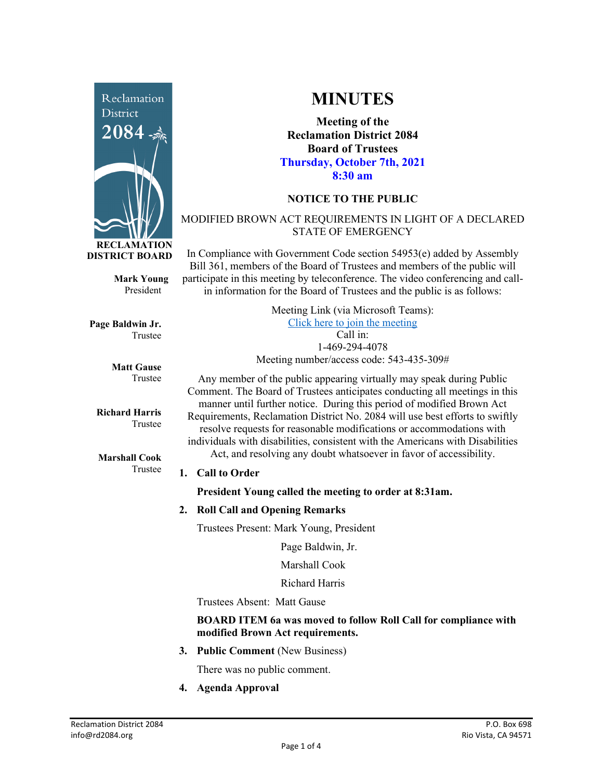

**Mark Young** President

**Page Baldwin Jr.** Trustee

> **Matt Gause** Trustee

**Richard Harris** Trustee

**Marshall Cook** Trustee

# **MINUTES**

**Meeting of the Reclamation District 2084 Board of Trustees Thursday, October 7th, 2021 8:30 am**

# **NOTICE TO THE PUBLIC**

## MODIFIED BROWN ACT REQUIREMENTS IN LIGHT OF A DECLARED STATE OF EMERGENCY

In Compliance with Government Code section 54953(e) added by Assembly Bill 361, members of the Board of Trustees and members of the public will participate in this meeting by teleconference. The video conferencing and callin information for the Board of Trustees and the public is as follows:

> Meeting Link (via Microsoft Teams): [Click here to join the meeting](https://teams.microsoft.com/l/meetup-join/19%3ameeting_Y2UyNWRiYzQtYWY2Mi00MTlhLWI0NDQtMjUzYzk0OWU0NGFi%40thread.v2/0?context=%7b%22Tid%22%3a%22f9038203-c87c-4f0e-b326-970a381acd40%22%2c%22Oid%22%3a%22b6a515a8-4d0a-410e-b81a-1dc60ae8c01d%22%7d) Call in: 1-469-294-4078 Meeting number/access code: 543-435-309#

Any member of the public appearing virtually may speak during Public Comment. The Board of Trustees anticipates conducting all meetings in this manner until further notice. During this period of modified Brown Act Requirements, Reclamation District No. 2084 will use best efforts to swiftly resolve requests for reasonable modifications or accommodations with individuals with disabilities, consistent with the Americans with Disabilities Act, and resolving any doubt whatsoever in favor of accessibility.

#### **1. Call to Order**

**President Young called the meeting to order at 8:31am.** 

#### **2. Roll Call and Opening Remarks**

Trustees Present: Mark Young, President

Page Baldwin, Jr.

Marshall Cook

Richard Harris

Trustees Absent: Matt Gause

#### **BOARD ITEM 6a was moved to follow Roll Call for compliance with modified Brown Act requirements.**

**3. Public Comment** (New Business)

There was no public comment.

**4. Agenda Approval**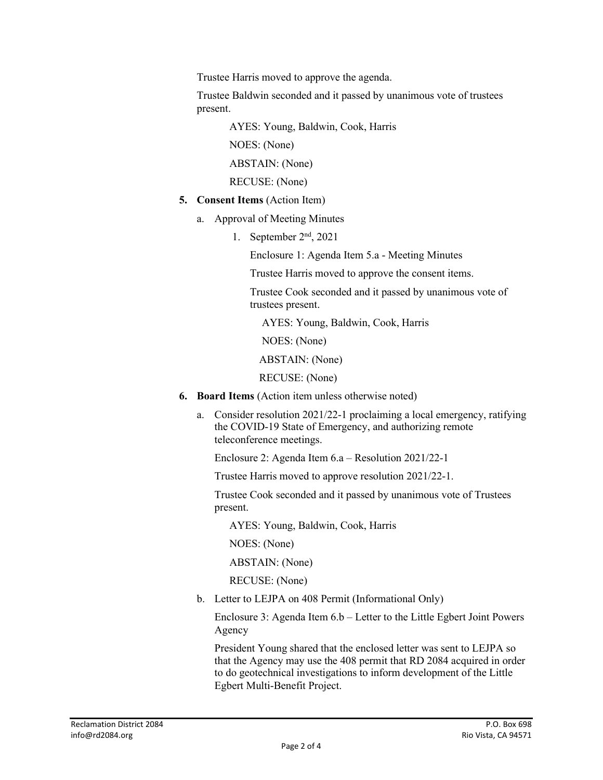Trustee Harris moved to approve the agenda.

Trustee Baldwin seconded and it passed by unanimous vote of trustees present.

AYES: Young, Baldwin, Cook, Harris

NOES: (None)

ABSTAIN: (None)

RECUSE: (None)

- **5. Consent Items** (Action Item)
	- a. Approval of Meeting Minutes
		- 1. September 2nd, 2021

Enclosure 1: Agenda Item 5.a - Meeting Minutes

Trustee Harris moved to approve the consent items.

Trustee Cook seconded and it passed by unanimous vote of trustees present.

AYES: Young, Baldwin, Cook, Harris

NOES: (None)

ABSTAIN: (None)

RECUSE: (None)

- **6. Board Items** (Action item unless otherwise noted)
	- a. Consider resolution 2021/22-1 proclaiming a local emergency, ratifying the COVID-19 State of Emergency, and authorizing remote teleconference meetings.

Enclosure 2: Agenda Item 6.a – Resolution 2021/22-1

Trustee Harris moved to approve resolution 2021/22-1.

Trustee Cook seconded and it passed by unanimous vote of Trustees present.

AYES: Young, Baldwin, Cook, Harris

NOES: (None)

ABSTAIN: (None)

RECUSE: (None)

b. Letter to LEJPA on 408 Permit (Informational Only)

Enclosure 3: Agenda Item 6.b – Letter to the Little Egbert Joint Powers Agency

President Young shared that the enclosed letter was sent to LEJPA so that the Agency may use the 408 permit that RD 2084 acquired in order to do geotechnical investigations to inform development of the Little Egbert Multi-Benefit Project.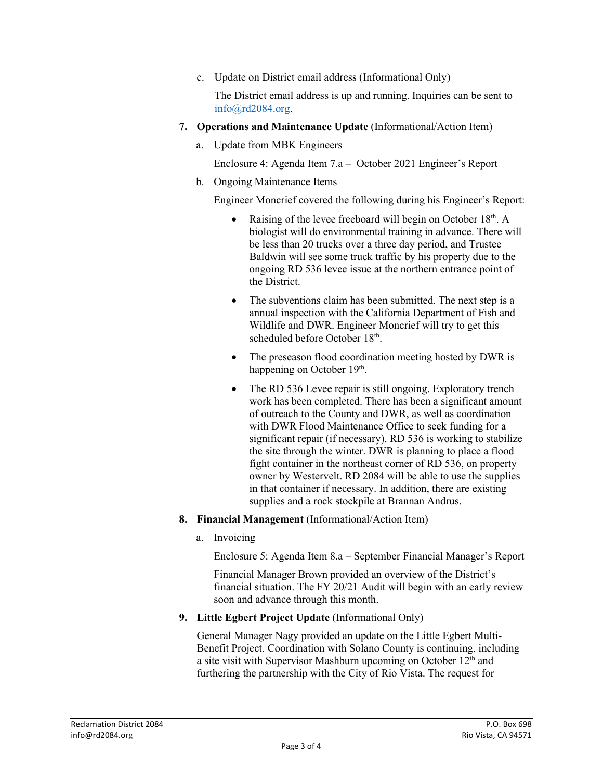c. Update on District email address (Informational Only)

The District email address is up and running. Inquiries can be sent to [info@rd2084.org.](mailto:info@rd2084.org)

- **7. Operations and Maintenance Update** (Informational/Action Item)
	- a. Update from MBK Engineers

Enclosure 4: Agenda Item 7.a – October 2021 Engineer's Report

b. Ongoing Maintenance Items

Engineer Moncrief covered the following during his Engineer's Report:

- Raising of the levee freeboard will begin on October 18<sup>th</sup>. A biologist will do environmental training in advance. There will be less than 20 trucks over a three day period, and Trustee Baldwin will see some truck traffic by his property due to the ongoing RD 536 levee issue at the northern entrance point of the District.
- The subventions claim has been submitted. The next step is a annual inspection with the California Department of Fish and Wildlife and DWR. Engineer Moncrief will try to get this scheduled before October 18<sup>th</sup>.
- The preseason flood coordination meeting hosted by DWR is happening on October 19<sup>th</sup>.
- The RD 536 Levee repair is still ongoing. Exploratory trench work has been completed. There has been a significant amount of outreach to the County and DWR, as well as coordination with DWR Flood Maintenance Office to seek funding for a significant repair (if necessary). RD 536 is working to stabilize the site through the winter. DWR is planning to place a flood fight container in the northeast corner of RD 536, on property owner by Westervelt. RD 2084 will be able to use the supplies in that container if necessary. In addition, there are existing supplies and a rock stockpile at Brannan Andrus.
- **8. Financial Management** (Informational/Action Item)
	- a. Invoicing

Enclosure 5: Agenda Item 8.a – September Financial Manager's Report

Financial Manager Brown provided an overview of the District's financial situation. The FY 20/21 Audit will begin with an early review soon and advance through this month.

**9. Little Egbert Project Update** (Informational Only)

General Manager Nagy provided an update on the Little Egbert Multi-Benefit Project. Coordination with Solano County is continuing, including a site visit with Supervisor Mashburn upcoming on October 12<sup>th</sup> and furthering the partnership with the City of Rio Vista. The request for